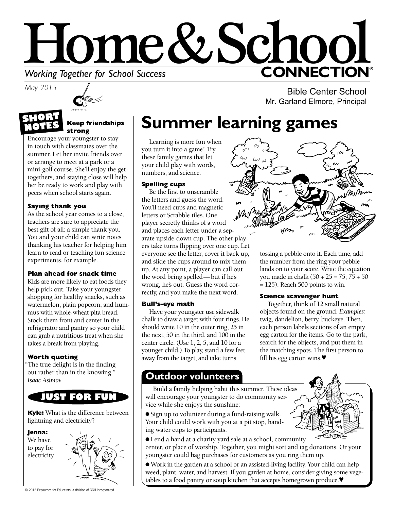# Home&Schoo **CONNECTION®** *Morking Together for School Success*<br>May 2015

*May 2015*



#### **Keep friendships strong**

Encourage your youngster to stay in touch with classmates over the summer. Let her invite friends over or arrange to meet at a park or a mini-golf course. She'll enjoy the gettogethers, and staying close will help her be ready to work and play with peers when school starts again.

### **Saying thank you**

As the school year comes to a close, teachers are sure to appreciate the best gift of all: a simple thank you. You and your child can write notes thanking his teacher for helping him learn to read or teaching fun science experiments, for example.

### **Plan ahead for snack time**

Kids are more likely to eat foods they help pick out. Take your youngster shopping for healthy snacks, such as watermelon, plain popcorn, and hummus with whole-wheat pita bread. Stock them front and center in the refrigerator and pantry so your child can grab a nutritious treat when she takes a break from playing.

### **Worth quoting**

"The true delight is in the finding out rather than in the knowing." *Isaac Asimov*

### **JUST FOR FUN**

**Kyle:** What is the difference between lightning and electricity?

**Jenna:** 

We have to pay for electricity.



**Summer learning games** 

Learning is more fun when you turn it into a game! Try these family games that let your child play with words, numbers, and science.

### **Spelling cups**

Be the first to unscramble the letters and guess the word. You'll need cups and magnetic letters or Scrabble tiles. One player secretly thinks of a word and places each letter under a separate upside-down cup. The other players take turns flipping over one cup. Let everyone see the letter, cover it back up, and slide the cups around to mix them up. At any point, a player can call out the word being spelled—but if he's wrong, he's out. Guess the word correctly, and you make the next word.

### **Bull's-eye math**

Have your youngster use sidewalk chalk to draw a target with four rings. He should write 10 in the outer ring, 25 in the next, 50 in the third, and 100 in the center circle. (Use 1, 2, 5, and 10 for a younger child.) To play, stand a few feet away from the target, and take turns

Bible Center School

Mr. Garland Elmore, Principal

tossing a pebble onto it. Each time, add the number from the ring your pebble lands on to your score. Write the equation you made in chalk (50 + 25 = 75; 75 + 50 = 125). Reach 500 points to win.

### **Science scavenger hunt**

Together, think of 12 small natural objects found on the ground. *Examples:* twig, dandelion, berry, buckeye. Then, each person labels sections of an empty egg carton for the items. Go to the park, search for the objects, and put them in the matching spots. The first person to fill his egg carton wins.♥

### **Outdoor volunteers**

Build a family helping habit this summer. These ideas will encourage your youngster to do community service while she enjoys the sunshine:

● Sign up to volunteer during a fund-raising walk. Your child could work with you at a pit stop, handing water cups to participants.

● Lend a hand at a charity yard sale at a school, community center, or place of worship. Together, you might sort and tag donations. Or your youngster could bag purchases for customers as you ring them up.

● Work in the garden at a school or an assisted-living facility. Your child can help weed, plant, water, and harvest. If you garden at home, consider giving some vegetables to a food pantry or soup kitchen that accepts homegrown produce.♥

© 2015 Resources for Educators, a division of CCH Incorporated